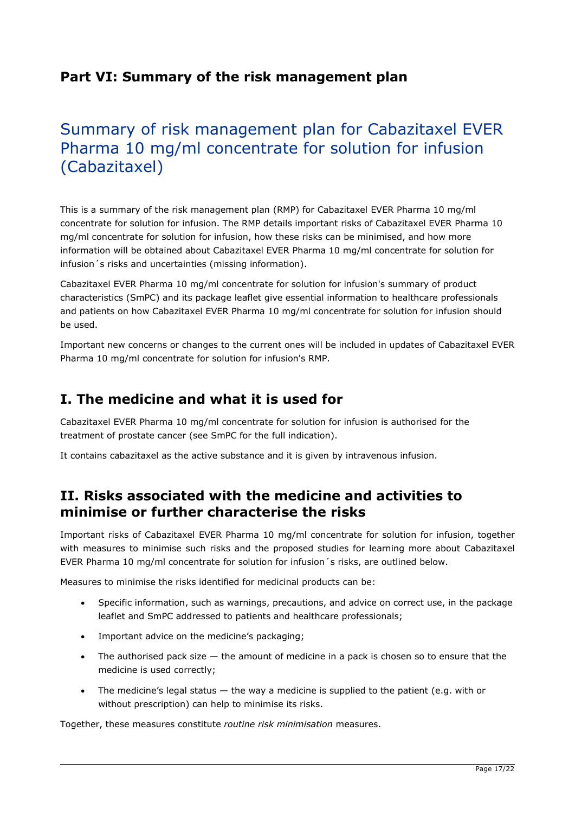## Part VI: Summary of the risk management plan

# Summary of risk management plan for Cabazitaxel EVER Pharma 10 mg/ml concentrate for solution for infusion (Cabazitaxel)

This is a summary of the risk management plan (RMP) for Cabazitaxel EVER Pharma 10 mg/ml concentrate for solution for infusion. The RMP details important risks of Cabazitaxel EVER Pharma 10 mg/ml concentrate for solution for infusion, how these risks can be minimised, and how more information will be obtained about Cabazitaxel EVER Pharma 10 mg/ml concentrate for solution for infusion´s risks and uncertainties (missing information).

Cabazitaxel EVER Pharma 10 mg/ml concentrate for solution for infusion's summary of product characteristics (SmPC) and its package leaflet give essential information to healthcare professionals and patients on how Cabazitaxel EVER Pharma 10 mg/ml concentrate for solution for infusion should be used.

Important new concerns or changes to the current ones will be included in updates of Cabazitaxel EVER Pharma 10 mg/ml concentrate for solution for infusion's RMP.

## I. The medicine and what it is used for

Cabazitaxel EVER Pharma 10 mg/ml concentrate for solution for infusion is authorised for the treatment of prostate cancer (see SmPC for the full indication).

It contains cabazitaxel as the active substance and it is given by intravenous infusion.

## II. Risks associated with the medicine and activities to minimise or further characterise the risks

Important risks of Cabazitaxel EVER Pharma 10 mg/ml concentrate for solution for infusion, together with measures to minimise such risks and the proposed studies for learning more about Cabazitaxel EVER Pharma 10 mg/ml concentrate for solution for infusion´s risks, are outlined below.

Measures to minimise the risks identified for medicinal products can be:

- Specific information, such as warnings, precautions, and advice on correct use, in the package leaflet and SmPC addressed to patients and healthcare professionals;
- Important advice on the medicine's packaging;
- The authorised pack size  $-$  the amount of medicine in a pack is chosen so to ensure that the medicine is used correctly;
- The medicine's legal status the way a medicine is supplied to the patient (e.g. with or without prescription) can help to minimise its risks.

Together, these measures constitute routine risk minimisation measures.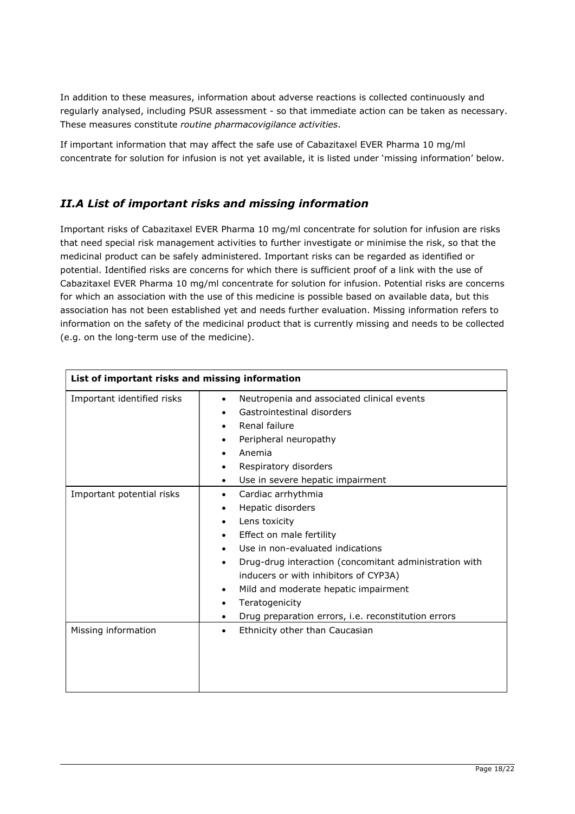In addition to these measures, information about adverse reactions is collected continuously and regularly analysed, including PSUR assessment - so that immediate action can be taken as necessary. These measures constitute routine pharmacovigilance activities.

If important information that may affect the safe use of Cabazitaxel EVER Pharma 10 mg/ml concentrate for solution for infusion is not yet available, it is listed under 'missing information' below.

#### II.A List of important risks and missing information

Important risks of Cabazitaxel EVER Pharma 10 mg/ml concentrate for solution for infusion are risks that need special risk management activities to further investigate or minimise the risk, so that the medicinal product can be safely administered. Important risks can be regarded as identified or potential. Identified risks are concerns for which there is sufficient proof of a link with the use of Cabazitaxel EVER Pharma 10 mg/ml concentrate for solution for infusion. Potential risks are concerns for which an association with the use of this medicine is possible based on available data, but this association has not been established yet and needs further evaluation. Missing information refers to information on the safety of the medicinal product that is currently missing and needs to be collected (e.g. on the long-term use of the medicine).

| List of important risks and missing information |                                                                                                                                                                                                                                                                                                                                                                                                                 |
|-------------------------------------------------|-----------------------------------------------------------------------------------------------------------------------------------------------------------------------------------------------------------------------------------------------------------------------------------------------------------------------------------------------------------------------------------------------------------------|
| Important identified risks                      | Neutropenia and associated clinical events<br>$\bullet$<br>Gastrointestinal disorders<br>Renal failure<br>$\bullet$<br>Peripheral neuropathy<br>٠<br>Anemia<br>$\bullet$<br>Respiratory disorders<br>٠<br>Use in severe hepatic impairment<br>$\bullet$                                                                                                                                                         |
| Important potential risks                       | Cardiac arrhythmia<br>Hepatic disorders<br>٠<br>Lens toxicity<br>$\bullet$<br>Effect on male fertility<br>$\bullet$<br>Use in non-evaluated indications<br>$\bullet$<br>Drug-drug interaction (concomitant administration with<br>$\bullet$<br>inducers or with inhibitors of CYP3A)<br>Mild and moderate hepatic impairment<br>٠<br>Teratogenicity<br>٠<br>Drug preparation errors, i.e. reconstitution errors |
| Missing information                             | Ethnicity other than Caucasian<br>$\bullet$                                                                                                                                                                                                                                                                                                                                                                     |